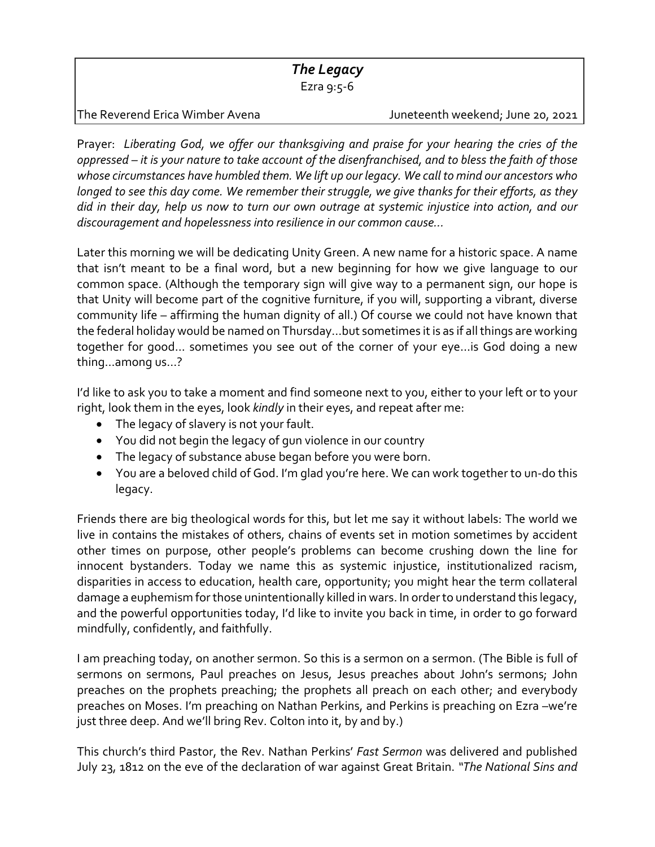## *The Legacy*

Ezra 9:5‐6

The Reverend Erica Wimber Avena **1988** Juneteenth weekend; June 20, 2021

Prayer: *Liberating God, we offer our thanksgiving and praise for your hearing the cries of the* oppressed – it is your nature to take account of the disenfranchised, and to bless the faith of those *whose circumstances have humbled them. We lift up our legacy. We call to mind our ancestors who longed to see this day come. We remember their struggle, we give thanks for their efforts, as they* did in their day, help us now to turn our own outrage at systemic injustice into action, and our *discouragement and hopelessness into resilience in our common cause…*

Later this morning we will be dedicating Unity Green. A new name for a historic space. A name that isn't meant to be a final word, but a new beginning for how we give language to our common space. (Although the temporary sign will give way to a permanent sign, our hope is that Unity will become part of the cognitive furniture, if you will, supporting a vibrant, diverse community life – affirming the human dignity of all.) Of course we could not have known that the federal holiday would be named on Thursday...but sometimes it is as if all things are working together for good… sometimes you see out of the corner of your eye…is God doing a new thing…among us…?

I'd like to ask you to take a moment and find someone next to you, either to your left or to your right, look them in the eyes, look *kindly* in their eyes, and repeat after me:

- The legacy of slavery is not your fault.
- You did not begin the legacy of gun violence in our country
- The legacy of substance abuse began before you were born.
- You are a beloved child of God. I'm glad you're here. We can work together to un‐do this legacy.

Friends there are big theological words for this, but let me say it without labels: The world we live in contains the mistakes of others, chains of events set in motion sometimes by accident other times on purpose, other people's problems can become crushing down the line for innocent bystanders. Today we name this as systemic injustice, institutionalized racism, disparities in access to education, health care, opportunity; you might hear the term collateral damage a euphemism for those unintentionally killed in wars. In order to understand this legacy, and the powerful opportunities today, I'd like to invite you back in time, in order to go forward mindfully, confidently, and faithfully.

I am preaching today, on another sermon. So this is a sermon on a sermon. (The Bible is full of sermons on sermons, Paul preaches on Jesus, Jesus preaches about John's sermons; John preaches on the prophets preaching; the prophets all preach on each other; and everybody preaches on Moses. I'm preaching on Nathan Perkins, and Perkins is preaching on Ezra –we're just three deep. And we'll bring Rev. Colton into it, by and by.)

This church's third Pastor, the Rev. Nathan Perkins' *Fast Sermon* was delivered and published July 23, 1812 on the eve of the declaration of war against Great Britain. *"The National Sins and*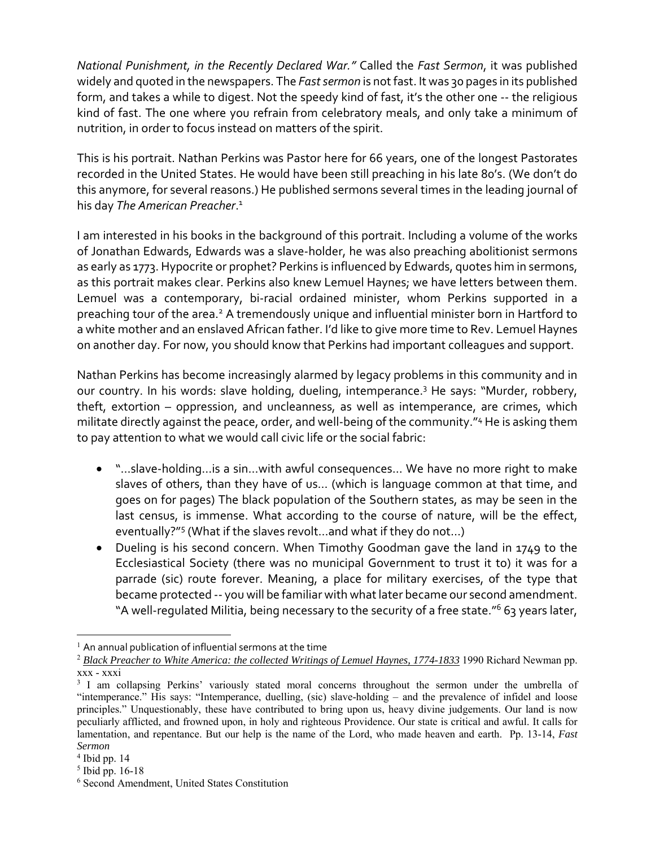*National Punishment, in the Recently Declared War."* Called the *Fast Sermon*, it was published widely and quoted in the newspapers. The *Fast sermon* is not fast. It was 30 pages in its published form, and takes a while to digest. Not the speedy kind of fast, it's the other one ‐‐ the religious kind of fast. The one where you refrain from celebratory meals, and only take a minimum of nutrition, in order to focus instead on matters of the spirit.

This is his portrait. Nathan Perkins was Pastor here for 66 years, one of the longest Pastorates recorded in the United States. He would have been still preaching in his late 80's. (We don't do this anymore, for several reasons.) He published sermons several times in the leading journal of his day *The American Preacher*. 1

I am interested in his books in the background of this portrait. Including a volume of the works of Jonathan Edwards, Edwards was a slave‐holder, he was also preaching abolitionist sermons as early as 1773. Hypocrite or prophet? Perkins is influenced by Edwards, quotes him in sermons, as this portrait makes clear. Perkins also knew Lemuel Haynes; we have letters between them. Lemuel was a contemporary, bi-racial ordained minister, whom Perkins supported in a preaching tour of the area.<sup>2</sup> A tremendously unique and influential minister born in Hartford to a white mother and an enslaved African father. I'd like to give more time to Rev. Lemuel Haynes on another day. For now, you should know that Perkins had important colleagues and support.

Nathan Perkins has become increasingly alarmed by legacy problems in this community and in our country. In his words: slave holding, dueling, intemperance.3 He says: "Murder, robbery, theft, extortion – oppression, and uncleanness, as well as intemperance, are crimes, which militate directly against the peace, order, and well-being of the community."<sup>4</sup> He is asking them to pay attention to what we would call civic life or the social fabric:

- "…slave-holding…is a sin…with awful consequences… We have no more right to make slaves of others, than they have of us… (which is language common at that time, and goes on for pages) The black population of the Southern states, as may be seen in the last census, is immense. What according to the course of nature, will be the effect, eventually?"5 (What if the slaves revolt…and what if they do not…)
- Dueling is his second concern. When Timothy Goodman gave the land in 1749 to the Ecclesiastical Society (there was no municipal Government to trust it to) it was for a parrade (sic) route forever. Meaning, a place for military exercises, of the type that became protected -- you will be familiar with what later became our second amendment. "A well-regulated Militia, being necessary to the security of a free state."<sup>6</sup> 63 years later,

 $\overline{a}$ 

 $1$  An annual publication of influential sermons at the time

<sup>2</sup> *Black Preacher to White America: the collected Writings of Lemuel Haynes, 1774-1833* 1990 Richard Newman pp. xxx - xxxi

<sup>&</sup>lt;sup>3</sup> I am collapsing Perkins' variously stated moral concerns throughout the sermon under the umbrella of "intemperance." His says: "Intemperance, duelling, (sic) slave-holding – and the prevalence of infidel and loose principles." Unquestionably, these have contributed to bring upon us, heavy divine judgements. Our land is now peculiarly afflicted, and frowned upon, in holy and righteous Providence. Our state is critical and awful. It calls for lamentation, and repentance. But our help is the name of the Lord, who made heaven and earth. Pp. 13-14, *Fast Sermon*

<sup>4</sup> Ibid pp. 14

<sup>5</sup> Ibid pp. 16-18

<sup>6</sup> Second Amendment, United States Constitution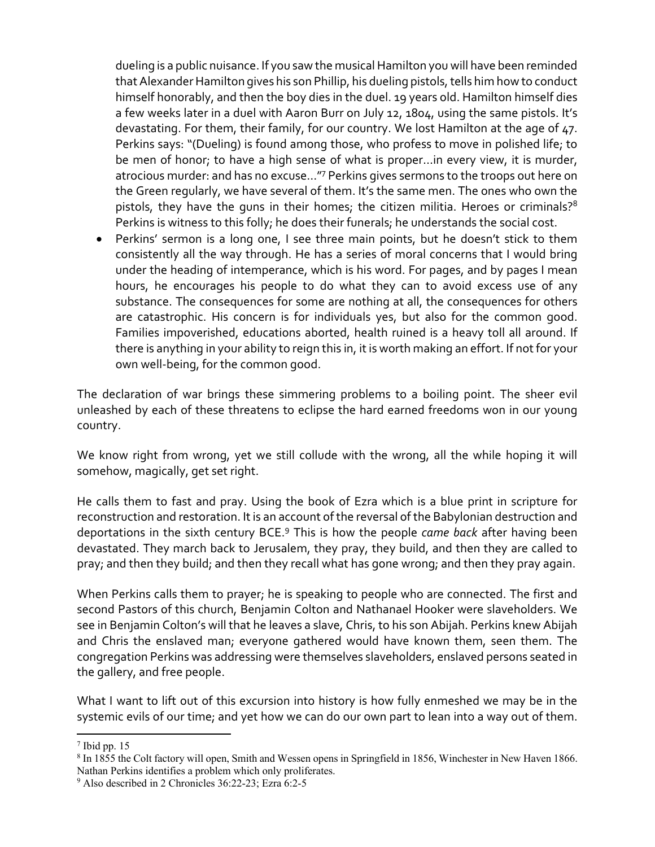dueling is a public nuisance. If you saw the musical Hamilton you will have been reminded that Alexander Hamilton gives his son Phillip, his dueling pistols, tells him how to conduct himself honorably, and then the boy dies in the duel. 19 years old. Hamilton himself dies a few weeks later in a duel with Aaron Burr on July 12, 1804, using the same pistols. It's devastating. For them, their family, for our country. We lost Hamilton at the age of 47. Perkins says: "(Dueling) is found among those, who profess to move in polished life; to be men of honor; to have a high sense of what is proper…in every view, it is murder, atrocious murder: and has no excuse…"7 Perkins gives sermons to the troops out here on the Green regularly, we have several of them. It's the same men. The ones who own the pistols, they have the guns in their homes; the citizen militia. Heroes or criminals?<sup>8</sup> Perkins is witness to this folly; he does their funerals; he understands the social cost.

 Perkins' sermon is a long one, I see three main points, but he doesn't stick to them consistently all the way through. He has a series of moral concerns that I would bring under the heading of intemperance, which is his word. For pages, and by pages I mean hours, he encourages his people to do what they can to avoid excess use of any substance. The consequences for some are nothing at all, the consequences for others are catastrophic. His concern is for individuals yes, but also for the common good. Families impoverished, educations aborted, health ruined is a heavy toll all around. If there is anything in your ability to reign this in, it is worth making an effort. If not for your own well‐being, for the common good.

The declaration of war brings these simmering problems to a boiling point. The sheer evil unleashed by each of these threatens to eclipse the hard earned freedoms won in our young country.

We know right from wrong, yet we still collude with the wrong, all the while hoping it will somehow, magically, get set right.

He calls them to fast and pray. Using the book of Ezra which is a blue print in scripture for reconstruction and restoration. It is an account of the reversal of the Babylonian destruction and deportations in the sixth century BCE.9 This is how the people *came back* after having been devastated. They march back to Jerusalem, they pray, they build, and then they are called to pray; and then they build; and then they recall what has gone wrong; and then they pray again.

When Perkins calls them to prayer; he is speaking to people who are connected. The first and second Pastors of this church, Benjamin Colton and Nathanael Hooker were slaveholders. We see in Benjamin Colton's will that he leaves a slave, Chris, to his son Abijah. Perkins knew Abijah and Chris the enslaved man; everyone gathered would have known them, seen them. The congregation Perkins was addressing were themselves slaveholders, enslaved persons seated in the gallery, and free people.

What I want to lift out of this excursion into history is how fully enmeshed we may be in the systemic evils of our time; and yet how we can do our own part to lean into a way out of them.

 $\overline{a}$ 

 $<sup>7</sup>$  Ibid pp. 15</sup>

<sup>&</sup>lt;sup>8</sup> In 1855 the Colt factory will open, Smith and Wessen opens in Springfield in 1856, Winchester in New Haven 1866. Nathan Perkins identifies a problem which only proliferates.

<sup>9</sup> Also described in 2 Chronicles 36:22-23; Ezra 6:2-5